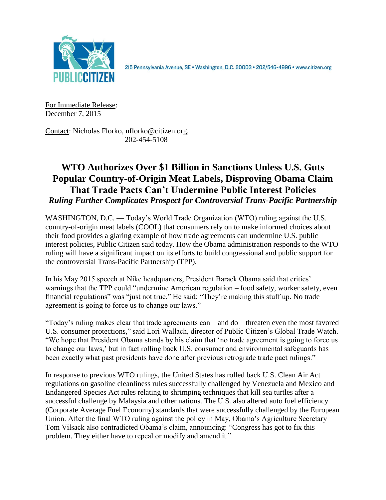

2I5 Pennsylvania Avenue, SE · Washington, D.C. 20003 · 202/546-4996 · www.citizen.org

For Immediate Release: December 7, 2015

Contact: Nicholas Florko, nflorko@citizen.org, 202-454-5108

## **WTO Authorizes Over \$1 Billion in Sanctions Unless U.S. Guts Popular Country-of-Origin Meat Labels, Disproving Obama Claim That Trade Pacts Can't Undermine Public Interest Policies** *Ruling Further Complicates Prospect for Controversial Trans-Pacific Partnership*

WASHINGTON, D.C. — Today's World Trade Organization (WTO) ruling against the U.S. country-of-origin meat labels (COOL) that consumers rely on to make informed choices about their food provides a glaring example of how trade agreements can undermine U.S. public interest policies, Public Citizen said today. How the Obama administration responds to the WTO ruling will have a significant impact on its efforts to build congressional and public support for the controversial Trans-Pacific Partnership (TPP).

In his May 2015 speech at Nike headquarters, President Barack Obama said that critics' warnings that the TPP could "undermine American regulation – food safety, worker safety, even financial regulations" was "just not true." He said: "They're making this stuff up. No trade agreement is going to force us to change our laws."

"Today's ruling makes clear that trade agreements can – and do – threaten even the most favored U.S. consumer protections," said Lori Wallach, director of Public Citizen's Global Trade Watch. "We hope that President Obama stands by his claim that 'no trade agreement is going to force us to change our laws,' but in fact rolling back U.S. consumer and environmental safeguards has been exactly what past presidents have done after previous retrograde trade pact rulings."

In response to previous WTO rulings, the United States has rolled back U.S. Clean Air Act regulations on gasoline cleanliness rules successfully challenged by Venezuela and Mexico and Endangered Species Act rules relating to shrimping techniques that kill sea turtles after a successful challenge by Malaysia and other nations. The U.S. also altered auto fuel efficiency (Corporate Average Fuel Economy) standards that were successfully challenged by the European Union. After the final WTO ruling against the policy in May, Obama's Agriculture Secretary Tom Vilsack also contradicted Obama's claim, announcing: "Congress has got to fix this problem. They either have to repeal or modify and amend it."